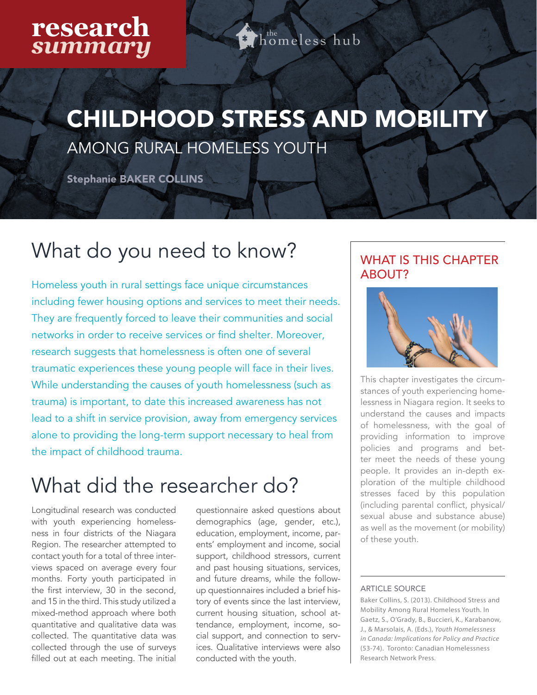### research *summary*

 $h^{\rm the}$ omeless hub

# CHILDHOOD STRESS AND MOBILITY

AMONG RURAL HOMELESS YOUTH

Stephanie BAKER COLLINS

### What do you need to know?

Homeless youth in rural settings face unique circumstances including fewer housing options and services to meet their needs. They are frequently forced to leave their communities and social networks in order to receive services or find shelter. Moreover, research suggests that homelessness is often one of several traumatic experiences these young people will face in their lives. While understanding the causes of youth homelessness (such as trauma) is important, to date this increased awareness has not lead to a shift in service provision, away from emergency services alone to providing the long-term support necessary to heal from the impact of childhood trauma.

## What did the researcher do?

Longitudinal research was conducted with youth experiencing homelessness in four districts of the Niagara Region. The researcher attempted to contact youth for a total of three interviews spaced on average every four months. Forty youth participated in the first interview, 30 in the second, and 15 in the third. This study utilized a mixed-method approach where both quantitative and qualitative data was collected. The quantitative data was collected through the use of surveys filled out at each meeting. The initial

questionnaire asked questions about demographics (age, gender, etc.), education, employment, income, parents' employment and income, social support, childhood stressors, current and past housing situations, services, and future dreams, while the followup questionnaires included a brief history of events since the last interview, current housing situation, school attendance, employment, income, social support, and connection to services. Qualitative interviews were also conducted with the youth.

### WHAT IS THIS CHAPTER ABOUT?



This chapter investigates the circumstances of youth experiencing homelessness in Niagara region. It seeks to understand the causes and impacts of homelessness, with the goal of providing information to improve policies and programs and better meet the needs of these young people. It provides an in-depth exploration of the multiple childhood stresses faced by this population (including parental conflict, physical/ sexual abuse and substance abuse) as well as the movement (or mobility) of these youth.

#### ARTICLE SOURCE

Baker Collins, S. (2013). Childhood Stress and Mobility Among Rural Homeless Youth. In Gaetz, S., O'Grady, B., Buccieri, K., Karabanow, J., & Marsolais, A. (Eds.), *Youth Homelessness in Canada: Implications for Policy and Practice*  (53-74). Toronto: Canadian Homelessness Research Network Press.